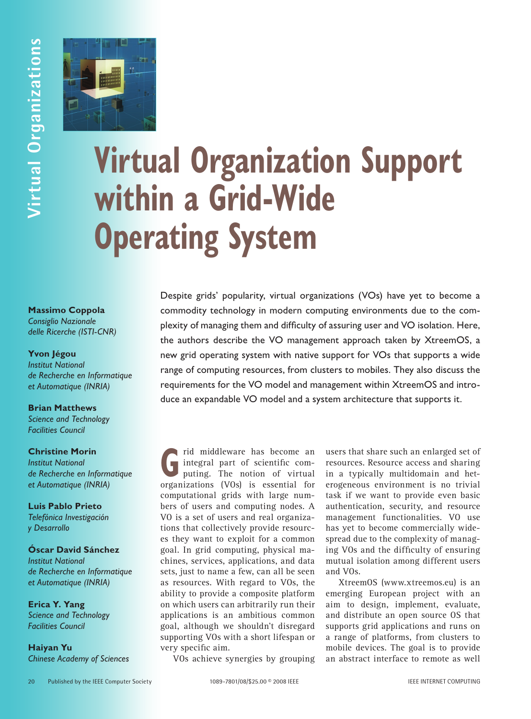

# **Virtual Organization Support within a Grid-Wide Operating System**

#### **Massimo Coppola**

*Consiglio Nazionale delle Ricerche (ISTI-CNR)*

#### **Yvon Jégou**

*Institut National de Recherche en Informatique et Automatique (INRIA)*

### **Brian Matthews**

*Science and Technology Facilities Council* 

#### **Christine Morin**

*Institut National de Recherche en Informatique et Automatique (INRIA)*

**Luis Pablo Prieto** *Telefónica Investigación y Desarrollo*

#### **Óscar David Sánchez** *Institut National de Recherche en Informatique et Automatique (INRIA)*

**Erica Y. Yang** *Science and Technology Facilities Council*

**Haiyan Yu** *Chinese Academy of Sciences* Despite grids' popularity, virtual organizations (VOs) have yet to become a commodity technology in modern computing environments due to the complexity of managing them and difficulty of assuring user and VO isolation. Here, the authors describe the VO management approach taken by XtreemOS, a new grid operating system with native support for VOs that supports a wide range of computing resources, from clusters to mobiles. They also discuss the requirements for the VO model and management within XtreemOS and introduce an expandable VO model and a system architecture that supports it.

**G**rid middleware has become an integral part of scientific computing. The notion of virtual integral part of scientific computing. The notion of virtual organizations (VOs) is essential for computational grids with large numbers of users and computing nodes. A VO is a set of users and real organizations that collectively provide resources they want to exploit for a common goal. In grid computing, physical machines, services, applications, and data sets, just to name a few, can all be seen as resources. With regard to VOs, the ability to provide a composite platform on which users can arbitrarily run their applications is an ambitious common goal, although we shouldn't disregard supporting VOs with a short lifespan or very specific aim.

VOs achieve synergies by grouping

users that share such an enlarged set of resources. Resource access and sharing in a typically multidomain and heterogeneous environment is no trivial task if we want to provide even basic authentication, security, and resource management functionalities. VO use has yet to become commercially widespread due to the complexity of managing VOs and the difficulty of ensuring mutual isolation among different users and VOs.

XtreemOS (www.xtreemos.eu) is an emerging European project with an aim to design, implement, evaluate, and distribute an open source OS that supports grid applications and runs on a range of platforms, from clusters to mobile devices. The goal is to provide an abstract interface to remote as well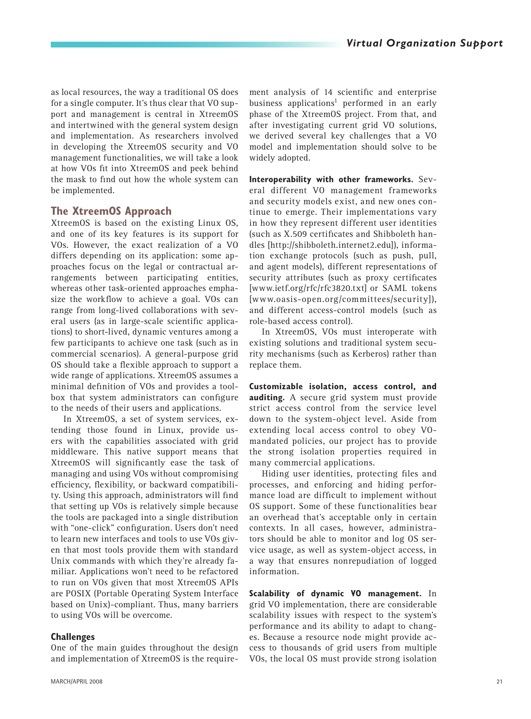as local resources, the way a traditional OS does for a single computer. It's thus clear that VO support and management is central in XtreemOS and intertwined with the general system design and implementation. As researchers involved in developing the XtreemOS security and VO management functionalities, we will take a look at how VOs fit into XtreemOS and peek behind the mask to find out how the whole system can be implemented.

#### **The XtreemOS Approach**

XtreemOS is based on the existing Linux OS, and one of its key features is its support for VOs. However, the exact realization of a VO differs depending on its application: some approaches focus on the legal or contractual arrangements between participating entities, whereas other task-oriented approaches emphasize the workflow to achieve a goal. VOs can range from long-lived collaborations with several users (as in large-scale scientific applications) to short-lived, dynamic ventures among a few participants to achieve one task (such as in commercial scenarios). A general-purpose grid OS should take a flexible approach to support a wide range of applications. XtreemOS assumes a minimal definition of VOs and provides a toolbox that system administrators can configure to the needs of their users and applications.

In XtreemOS, a set of system services, extending those found in Linux, provide users with the capabilities associated with grid middleware. This native support means that XtreemOS will significantly ease the task of managing and using VOs without compromising efficiency, flexibility, or backward compatibility. Using this approach, administrators will find that setting up VOs is relatively simple because the tools are packaged into a single distribution with "one-click" configuration. Users don't need to learn new interfaces and tools to use VOs given that most tools provide them with standard Unix commands with which they're already familiar. Applications won't need to be refactored to run on VOs given that most XtreemOS APIs are POSIX (Portable Operating System Interface based on Unix)-compliant. Thus, many barriers to using VOs will be overcome.

#### **Challenges**

One of the main guides throughout the design and implementation of XtreemOS is the require-

ment analysis of 14 scientific and enterprise business applications<sup>1</sup> performed in an early phase of the XtreemOS project. From that, and after investigating current grid VO solutions, we derived several key challenges that a VO model and implementation should solve to be widely adopted.

**Interoperability with other frameworks.** Several different VO management frameworks and security models exist, and new ones continue to emerge. Their implementations vary in how they represent different user identities (such as X.509 certificates and Shibboleth handles [http://shibboleth.internet2.edu]), information exchange protocols (such as push, pull, and agent models), different representations of security attributes (such as proxy certificates [www.ietf.org/rfc/rfc3820.txt] or SAML tokens [www.oasis-open.org/committees/security]), and different access-control models (such as role-based access control).

In XtreemOS, VOs must interoperate with existing solutions and traditional system security mechanisms (such as Kerberos) rather than replace them.

**Customizable isolation, access control, and auditing.** A secure grid system must provide strict access control from the service level down to the system-object level. Aside from extending local access control to obey VOmandated policies, our project has to provide the strong isolation properties required in many commercial applications.

Hiding user identities, protecting files and processes, and enforcing and hiding performance load are difficult to implement without OS support. Some of these functionalities bear an overhead that's acceptable only in certain contexts. In all cases, however, administrators should be able to monitor and log OS service usage, as well as system-object access, in a way that ensures nonrepudiation of logged information.

**Scalability of dynamic VO management.** In grid VO implementation, there are considerable scalability issues with respect to the system's performance and its ability to adapt to changes. Because a resource node might provide access to thousands of grid users from multiple VOs, the local OS must provide strong isolation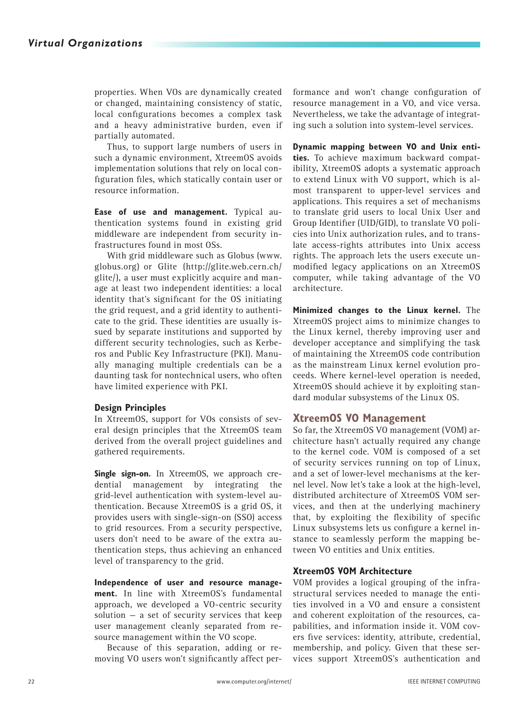properties. When VOs are dynamically created or changed, maintaining consistency of static, local configurations becomes a complex task and a heavy administrative burden, even if partially automated.

Thus, to support large numbers of users in such a dynamic environment, XtreemOS avoids implementation solutions that rely on local con figuration files, which statically contain user or resource information.

**Ease of use and management.** Typical authentication systems found in existing grid middleware are independent from security infrastructures found in most OSs.

With grid middleware such as Globus (www. globus.org) or Glite (http://glite.web.cern.ch/ glite/), a user must explicitly acquire and manage at least two independent identities: a local identity that's significant for the OS initiating the grid request, and a grid identity to authenticate to the grid. These identities are usually issued by separate institutions and supported by different security technologies, such as Kerberos and Public Key Infrastructure (PKI). Manually managing multiple credentials can be a daunting task for nontechnical users, who often have limited experience with PKI.

#### **Design Principles**

In XtreemOS, support for VOs consists of several design principles that the XtreemOS team derived from the overall project guidelines and gathered requirements.

**Single sign-on.** In XtreemOS, we approach credential management by integrating the grid-level authentication with system-level authentication. Because XtreemOS is a grid OS, it provides users with single-sign-on (SSO) access to grid resources. From a security perspective, users don't need to be aware of the extra authentication steps, thus achieving an enhanced level of transparency to the grid.

**Independence of user and resource management.** In line with XtreemOS's fundamental approach, we developed a VO-centric security solution  $-$  a set of security services that keep user management cleanly separated from resource management within the VO scope.

Because of this separation, adding or removing VO users won't significantly affect per-

formance and won't change configuration of resource management in a VO, and vice versa. Nevertheless, we take the advantage of integrating such a solution into system-level services.

**Dynamic mapping between VO and Unix entities.** To achieve maximum backward compatibility, XtreemOS adopts a systematic approach to extend Linux with VO support, which is almost transparent to upper-level services and applications. This requires a set of mechanisms to translate grid users to local Unix User and Group Identifier (UID/GID), to translate VO policies into Unix authorization rules, and to translate access-rights attributes into Unix access rights. The approach lets the users execute unmodified legacy applications on an XtreemOS computer, while taking advantage of the VO architecture.

**Minimized changes to the Linux kernel.** The XtreemOS project aims to minimize changes to the Linux kernel, thereby improving user and developer acceptance and simplifying the task of maintaining the XtreemOS code contribution as the mainstream Linux kernel evolution proceeds. Where kernel-level operation is needed, XtreemOS should achieve it by exploiting standard modular subsystems of the Linux OS.

#### **XtreemOS VO Management**

So far, the XtreemOS VO management (VOM) architecture hasn't actually required any change to the kernel code. VOM is composed of a set of security services running on top of Linux, and a set of lower-level mechanisms at the kernel level. Now let's take a look at the high-level, distributed architecture of XtreemOS VOM services, and then at the underlying machinery that, by exploiting the flexibility of specific Linux subsystems lets us configure a kernel instance to seamlessly perform the mapping between VO entities and Unix entities.

#### **XtreemOS VOM Architecture**

VOM provides a logical grouping of the infrastructural services needed to manage the entities involved in a VO and ensure a consistent and coherent exploitation of the resources, capabilities, and information inside it. VOM covers five services: identity, attribute, credential, membership, and policy. Given that these services support XtreemOS's authentication and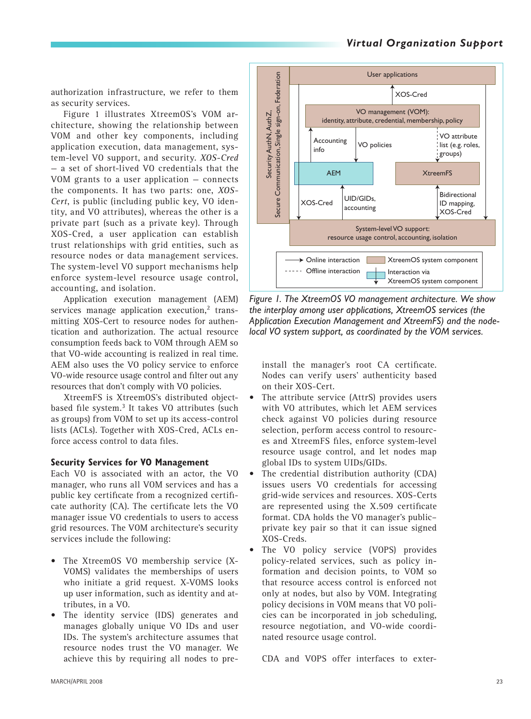#### *Virtual Organization Support*

authorization infrastructure, we refer to them as security services.

Figure 1 illustrates XtreemOS's VOM architecture, showing the relationship between VOM and other key components, including application execution, data management, system-level VO support, and security. *XOS-Cred* — a set of short-lived VO credentials that the VOM grants to a user application — connects the components. It has two parts: one, *XOS-Cert*, is public (including public key, VO identity, and VO attributes), whereas the other is a private part (such as a private key). Through XOS-Cred, a user application can establish trust relationships with grid entities, such as resource nodes or data management services. The system-level VO support mechanisms help enforce system-level resource usage control, accounting, and isolation.

Application execution management (AEM) services manage application execution, <sup>2</sup> transmitting XOS-Cert to resource nodes for authentication and authorization. The actual resource consumption feeds back to VOM through AEM so that VO-wide accounting is realized in real time. AEM also uses the VO policy service to enforce VO-wide resource usage control and filter out any resources that don't comply with VO policies.

XtreemFS is XtreemOS's distributed objectbased file system.<sup>3</sup> It takes VO attributes (such as groups) from VOM to set up its access-control lists (ACLs). Together with XOS-Cred, ACLs enforce access control to data files.

#### **Security Services for VO Management**

Each VO is associated with an actor, the VO manager, who runs all VOM services and has a public key certificate from a recognized certificate authority (CA). The certificate lets the VO manager issue VO credentials to users to access grid resources. The VOM architecture's security services include the following:

- The XtreemOS VO membership service (X-• VOMS) validates the memberships of users who initiate a grid request. X-VOMS looks up user information, such as identity and attributes, in a VO.
- The identity service (IDS) generates and manages globally unique VO IDs and user IDs. The system's architecture assumes that resource nodes trust the VO manager. We achieve this by requiring all nodes to pre-



*Figure 1. The XtreemOS VO management architecture. We show the interplay among user applications, XtreemOS services (the Application Execution Management and XtreemFS) and the nodelocal VO system support, as coordinated by the VOM services.* 

install the manager's root CA certificate. Nodes can verify users' authenticity based on their XOS-Cert.

- The attribute service (AttrS) provides users with VO attributes, which let AEM services check against VO policies during resource selection, perform access control to resources and XtreemFS files, enforce system-level resource usage control, and let nodes map global IDs to system UIDs/GIDs. •
- The credential distribution authority (CDA) issues users VO credentials for accessing grid-wide services and resources. XOS-Certs are represented using the X.509 certificate format. CDA holds the VO manager's public– private key pair so that it can issue signed XOS-Creds. •
- The VO policy service (VOPS) provides policy-related services, such as policy information and decision points, to VOM so that resource access control is enforced not only at nodes, but also by VOM. Integrating policy decisions in VOM means that VO policies can be incorporated in job scheduling, resource negotiation, and VO-wide coordinated resource usage control. •

CDA and VOPS offer interfaces to exter-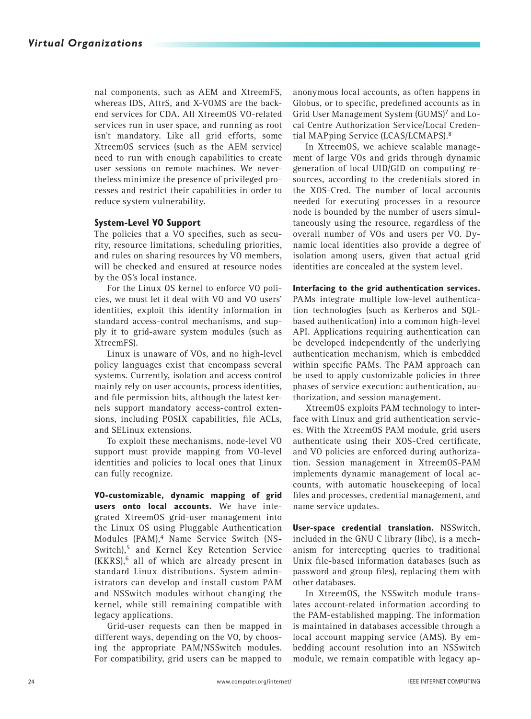nal components, such as AEM and XtreemFS, whereas IDS, AttrS, and X-VOMS are the backend services for CDA. All XtreemOS VO-related services run in user space, and running as root isn't mandatory. Like all grid efforts, some XtreemOS services (such as the AEM service) need to run with enough capabilities to create user sessions on remote machines. We nevertheless minimize the presence of privileged processes and restrict their capabilities in order to reduce system vulnerability.

#### **System-Level VO Support**

The policies that a VO specifies, such as security, resource limitations, scheduling priorities, and rules on sharing resources by VO members, will be checked and ensured at resource nodes by the OS's local instance.

For the Linux OS kernel to enforce VO policies, we must let it deal with VO and VO users' identities, exploit this identity information in standard access-control mechanisms, and supply it to grid-aware system modules (such as XtreemFS).

Linux is unaware of VOs, and no high-level policy languages exist that encompass several systems. Currently, isolation and access control mainly rely on user accounts, process identities, and file permission bits, although the latest kernels support mandatory access-control extensions, including POSIX capabilities, file ACLs, and SELinux extensions.

To exploit these mechanisms, node-level VO support must provide mapping from VO-level identities and policies to local ones that Linux can fully recognize.

**VO-customizable, dynamic mapping of grid users onto local accounts.** We have integrated XtreemOS grid-user management into the Linux OS using Pluggable Authentication Modules (PAM), <sup>4</sup> Name Service Switch (NS-Switch), <sup>5</sup> and Kernel Key Retention Service (KKRS), <sup>6</sup> all of which are already present in standard Linux distributions. System administrators can develop and install custom PAM and NSSwitch modules without changing the kernel, while still remaining compatible with legacy applications.

Grid-user requests can then be mapped in different ways, depending on the VO, by choosing the appropriate PAM/NSSwitch modules. For compatibility, grid users can be mapped to

anonymous local accounts, as often happens in Globus, or to specific, predefined accounts as in Grid User Management System (GUMS)<sup>7</sup> and Local Centre Authorization Service/Local Credential MAPping Service (LCAS/LCMAPS). 8

In XtreemOS, we achieve scalable management of large VOs and grids through dynamic generation of local UID/GID on computing resources, according to the credentials stored in the XOS-Cred. The number of local accounts needed for executing processes in a resource node is bounded by the number of users simultaneously using the resource, regardless of the overall number of VOs and users per VO. Dynamic local identities also provide a degree of isolation among users, given that actual grid identities are concealed at the system level.

#### **Interfacing to the grid authentication services.**

PAMs integrate multiple low-level authentication technologies (such as Kerberos and SQLbased authentication) into a common high-level API. Applications requiring authentication can be developed independently of the underlying authentication mechanism, which is embedded within specific PAMs. The PAM approach can be used to apply customizable policies in three phases of service execution: authentication, authorization, and session management.

XtreemOS exploits PAM technology to interface with Linux and grid authentication services. With the XtreemOS PAM module, grid users authenticate using their XOS-Cred certificate, and VO policies are enforced during authorization. Session management in XtreemOS-PAM implements dynamic management of local accounts, with automatic housekeeping of local files and processes, credential management, and name service updates.

**User-space credential translation.** NSSwitch, included in the GNU C library (libc), is a mechanism for intercepting queries to traditional Unix file-based information databases (such as password and group files), replacing them with other databases.

In XtreemOS, the NSSwitch module translates account-related information according to the PAM-established mapping. The information is maintained in databases accessible through a local account mapping service (AMS). By embedding account resolution into an NSSwitch module, we remain compatible with legacy ap-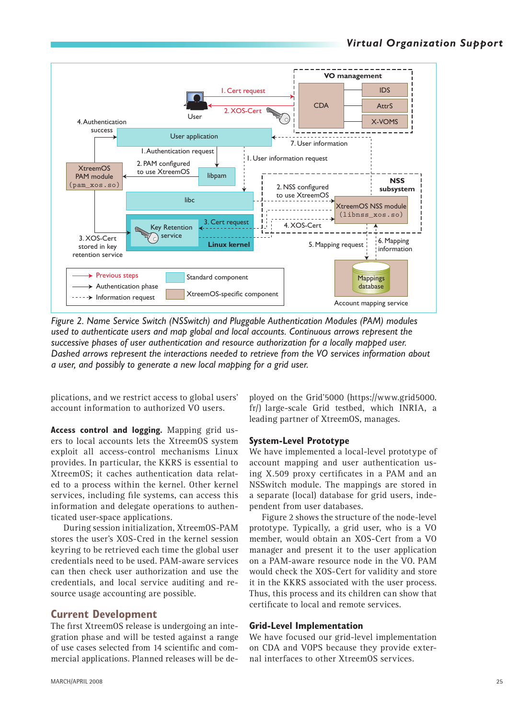

*Figure 2. Name Service Switch (NSSwitch) and Pluggable Authentication Modules (PAM) modules used to authenticate users and map global and local accounts. Continuous arrows represent the successive phases of user authentication and resource authorization for a locally mapped user. Dashed arrows represent the interactions needed to retrieve from the VO services information about a user, and possibly to generate a new local mapping for a grid user.* 

plications, and we restrict access to global users' account information to authorized VO users.

**Access control and logging.** Mapping grid users to local accounts lets the XtreemOS system exploit all access-control mechanisms Linux provides. In particular, the KKRS is essential to XtreemOS; it caches authentication data related to a process within the kernel. Other kernel services, including file systems, can access this information and delegate operations to authenticated user-space applications.

During session initialization, XtreemOS-PAM stores the user's XOS-Cred in the kernel session keyring to be retrieved each time the global user credentials need to be used. PAM-aware services can then check user authorization and use the credentials, and local service auditing and resource usage accounting are possible.

#### **Current Development**

The first XtreemOS release is undergoing an integration phase and will be tested against a range of use cases selected from 14 scientific and commercial applications. Planned releases will be de-

ployed on the Grid'5000 (https://www.grid5000. fr/) large-scale Grid testbed, which INRIA, a leading partner of XtreemOS, manages.

#### **System-Level Prototype**

We have implemented a local-level prototype of account mapping and user authentication using X.509 proxy certificates in a PAM and an NSSwitch module. The mappings are stored in a separate (local) database for grid users, independent from user databases.

Figure 2 shows the structure of the node-level prototype. Typically, a grid user, who is a VO member, would obtain an XOS-Cert from a VO manager and present it to the user application on a PAM-aware resource node in the VO. PAM would check the XOS-Cert for validity and store it in the KKRS associated with the user process. Thus, this process and its children can show that certificate to local and remote services.

#### **Grid-Level Implementation**

We have focused our grid-level implementation on CDA and VOPS because they provide external interfaces to other XtreemOS services.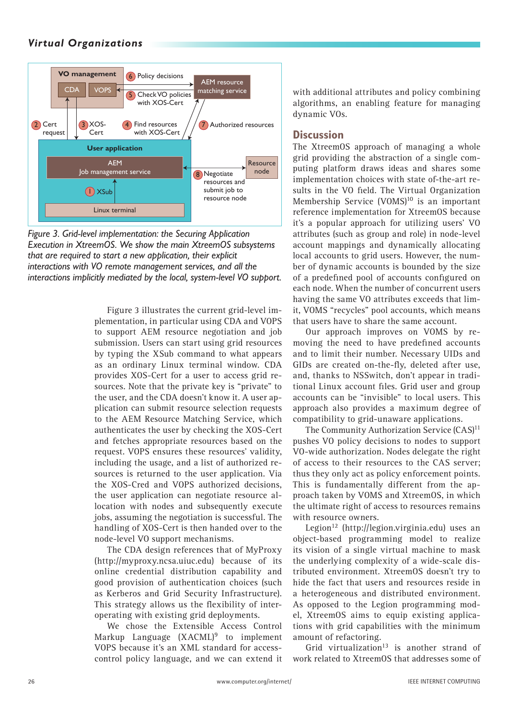#### *Virtual Organizations*



*Figure 3. Grid-level implementation: the Securing Application Execution in XtreemOS. We show the main XtreemOS subsystems that are required to start a new application, their explicit interactions with VO remote management services, and all the interactions implicitly mediated by the local, system-level VO support.* 

Figure 3 illustrates the current grid-level implementation, in particular using CDA and VOPS to support AEM resource negotiation and job submission. Users can start using grid resources by typing the XSub command to what appears as an ordinary Linux terminal window. CDA provides XOS-Cert for a user to access grid resources. Note that the private key is "private" to the user, and the CDA doesn't know it. A user application can submit resource selection requests to the AEM Resource Matching Service, which authenticates the user by checking the XOS-Cert and fetches appropriate resources based on the request. VOPS ensures these resources' validity, including the usage, and a list of authorized resources is returned to the user application. Via the XOS-Cred and VOPS authorized decisions, the user application can negotiate resource allocation with nodes and subsequently execute jobs, assuming the negotiation is successful. The handling of XOS-Cert is then handed over to the node-level VO support mechanisms.

The CDA design references that of MyProxy (http://myproxy.ncsa.uiuc.edu) because of its online credential distribution capability and good provision of authentication choices (such as Kerberos and Grid Security Infrastructure). This strategy allows us the flexibility of interoperating with existing grid deployments.

We chose the Extensible Access Control Markup Language (XACML) <sup>9</sup> to implement VOPS because it's an XML standard for accesscontrol policy language, and we can extend it

with additional attributes and policy combining algorithms, an enabling feature for managing dynamic VOs.

#### **Discussion**

The XtreemOS approach of managing a whole grid providing the abstraction of a single computing platform draws ideas and shares some implementation choices with state of-the-art results in the VO field. The Virtual Organization Membership Service (VOMS) <sup>10</sup> is an important reference implementation for XtreemOS because it's a popular approach for utilizing users' VO attributes (such as group and role) in node-level account mappings and dynamically allocating local accounts to grid users. However, the number of dynamic accounts is bounded by the size of a predefined pool of accounts configured on each node. When the number of concurrent users having the same VO attributes exceeds that limit, VOMS "recycles" pool accounts, which means that users have to share the same account.

Our approach improves on VOMS by removing the need to have predefined accounts and to limit their number. Necessary UIDs and GIDs are created on-the-fly, deleted after use, and, thanks to NSSwitch, don't appear in traditional Linux account files. Grid user and group accounts can be "invisible" to local users. This approach also provides a maximum degree of compatibility to grid-unaware applications.

The Community Authorization Service (CAS)<sup>11</sup> pushes VO policy decisions to nodes to support VO-wide authorization. Nodes delegate the right of access to their resources to the CAS server; thus they only act as policy enforcement points. This is fundamentally different from the approach taken by VOMS and XtreemOS, in which the ultimate right of access to resources remains with resource owners.

Legion12 (http://legion.virginia.edu) uses an object-based programming model to realize its vision of a single virtual machine to mask the underlying complexity of a wide-scale distributed environment. XtreemOS doesn't try to hide the fact that users and resources reside in a heterogeneous and distributed environment. As opposed to the Legion programming model, XtreemOS aims to equip existing applications with grid capabilities with the minimum amount of refactoring.

Grid virtualization<sup>13</sup> is another strand of work related to XtreemOS that addresses some of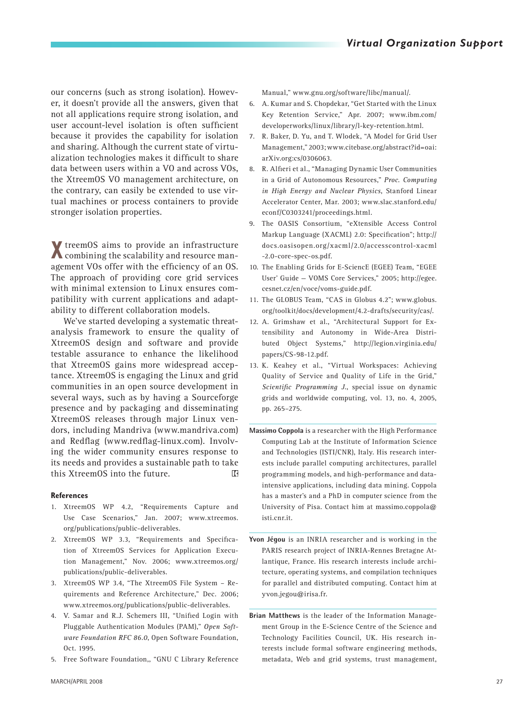our concerns (such as strong isolation). However, it doesn't provide all the answers, given that not all applications require strong isolation, and user account-level isolation is often sufficient because it provides the capability for isolation and sharing. Although the current state of virtualization technologies makes it difficult to share data between users within a VO and across VOs, the XtreemOS VO management architecture, on the contrary, can easily be extended to use virtual machines or process containers to provide stronger isolation properties.

**X**treemOS aims to provide an infrastructure combining the scalability and resource management VOs offer with the efficiency of an OS. The approach of providing core grid services with minimal extension to Linux ensures compatibility with current applications and adaptability to different collaboration models.

We've started developing a systematic threatanalysis framework to ensure the quality of XtreemOS design and software and provide testable assurance to enhance the likelihood that XtreemOS gains more widespread acceptance. XtreemOS is engaging the Linux and grid communities in an open source development in several ways, such as by having a Sourceforge presence and by packaging and disseminating XtreemOS releases through major Linux vendors, including Mandriva (www.mandriva.com) and Redflag (www.redflag-linux.com). Involving the wider community ensures response to its needs and provides a sustainable path to take this XtreemOS into the future.  $\mathbb{R}$ 

#### **References**

- XtreemOS WP 4.2, "Requirements Capture and 1. Use Case Scenarios," Jan. 2007; www.xtreemos. org/publications/public-deliverables.
- 2. XtreemOS WP 3.3, "Requirements and Specification of XtreemOS Services for Application Execution Management," Nov. 2006; www.xtreemos.org/ publications/public-deliverables.
- 3. XtreemOS WP 3.4, "The XtreemOS File System Requirements and Reference Architecture," Dec. 2006; www.xtreemos.org/publications/public-deliverables.
- 4. V. Samar and R.J. Schemers III, "Unified Login with Pluggable Authentication Modules (PAM)," *Open Software Foundation RFC 86.0*, Open Software Foundation, Oct. 1995.
- 5. Free Software Foundation,, "GNU C Library Reference

Manual," www.gnu.org/software/libc/manual/.

- A. Kumar and S. Chopdekar, "Get Started with the Linux 6. Key Retention Service," Apr. 2007; www.ibm.com/ developerworks/linux/library/l-key-retention.html.
- R. Baker, D. Yu, and T. Wlodek, "A Model for Grid User Management," 2003; www.citebase.org/abstract?id=oai: arXiv.org:cs/0306063. 7.
- 8. R. Alfieri et al., "Managing Dynamic User Communities in a Grid of Autonomous Resources," *Proc. Computing in High Energy and Nuclear Physics*, Stanford Linear Accelerator Center, Mar. 2003; www.slac.stanford.edu/ econf/C0303241/proceedings.html.
- The OASIS Consortium, "eXtensible Access Control 9. Markup Language (XACML) 2.0: Specification"; http:// docs.oasisopen.org/xacml/2.0/accesscontrol-xacml -2.0-core-spec-os.pdf.
- 10. The Enabling Grids for E-SciencE (EGEE) Team, "EGEE User' Guide — VOMS Core Services," 2005; http://egee. cesnet.cz/en/voce/voms-guide.pdf.
- 11. The GLOBUS Team, "CAS in Globus 4.2"; www.globus. org/toolkit/docs/development/4.2-drafts/security/cas/.
- 12. A. Grimshaw et al., "Architectural Support for Extensibility and Autonomy in Wide-Area Distributed Object Systems," http://legion.virginia.edu/ papers/CS-98-12.pdf.
- 13. K. Keahey et al., "Virtual Workspaces: Achieving Quality of Service and Quality of Life in the Grid," Scientific Programming J., special issue on dynamic grids and worldwide computing, vol. 13, no. 4, 2005, pp. 265–275.
- **Massimo Coppola** is a researcher with the High Performance Computing Lab at the Institute of Information Science and Technologies (ISTI/CNR), Italy. His research interests include parallel computing architectures, parallel programming models, and high-performance and dataintensive applications, including data mining. Coppola has a master's and a PhD in computer science from the University of Pisa. Contact him at massimo.coppola@ isti.cnr.it.
- **Yvon Jégou** is an INRIA researcher and is working in the PARIS research project of INRIA-Rennes Bretagne Atlantique, France. His research interests include architecture, operating systems, and compilation techniques for parallel and distributed computing. Contact him at yvon.jegou@irisa.fr.
- **Brian Matthews** is the leader of the Information Management Group in the E-Science Centre of the Science and Technology Facilities Council, UK. His research interests include formal software engineering methods, metadata, Web and grid systems, trust management,